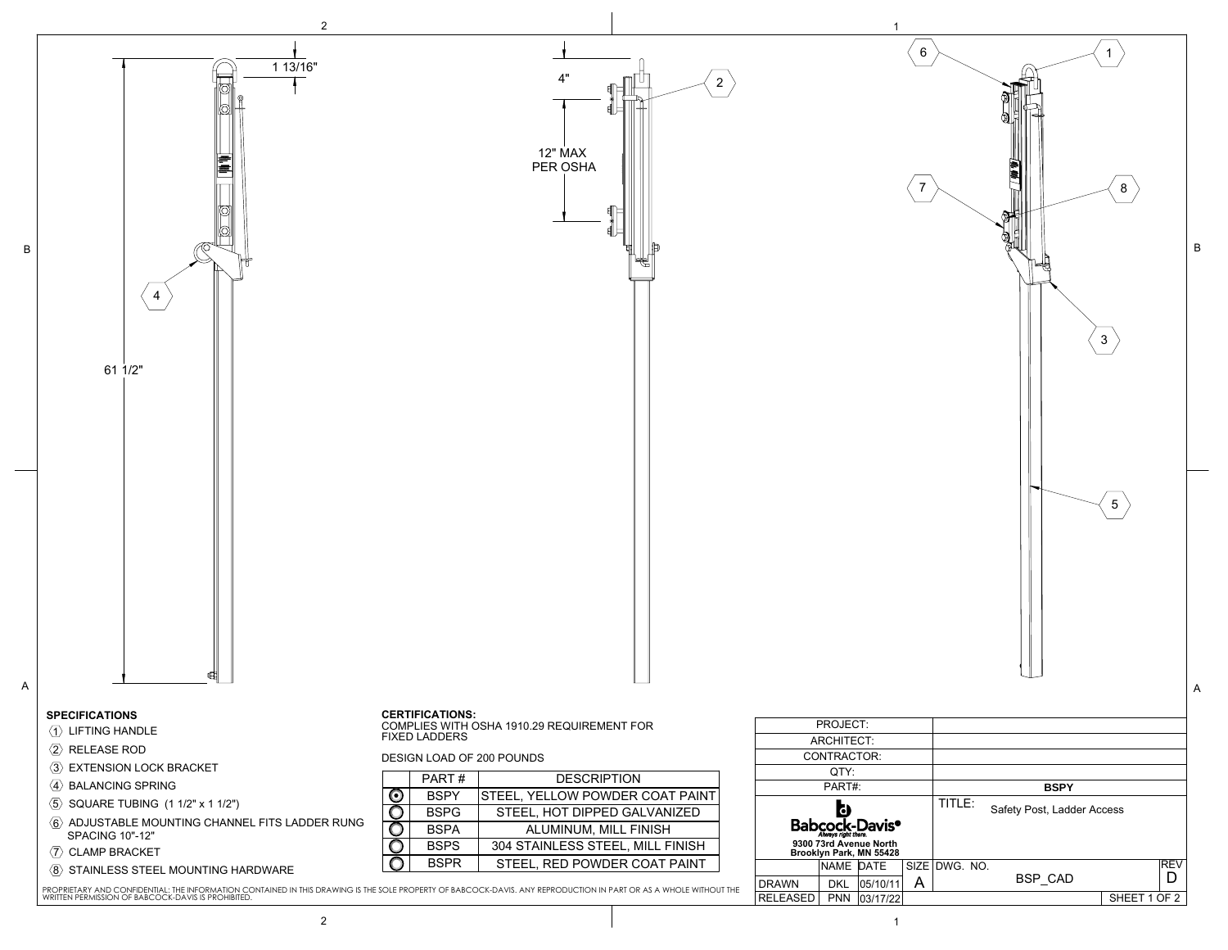